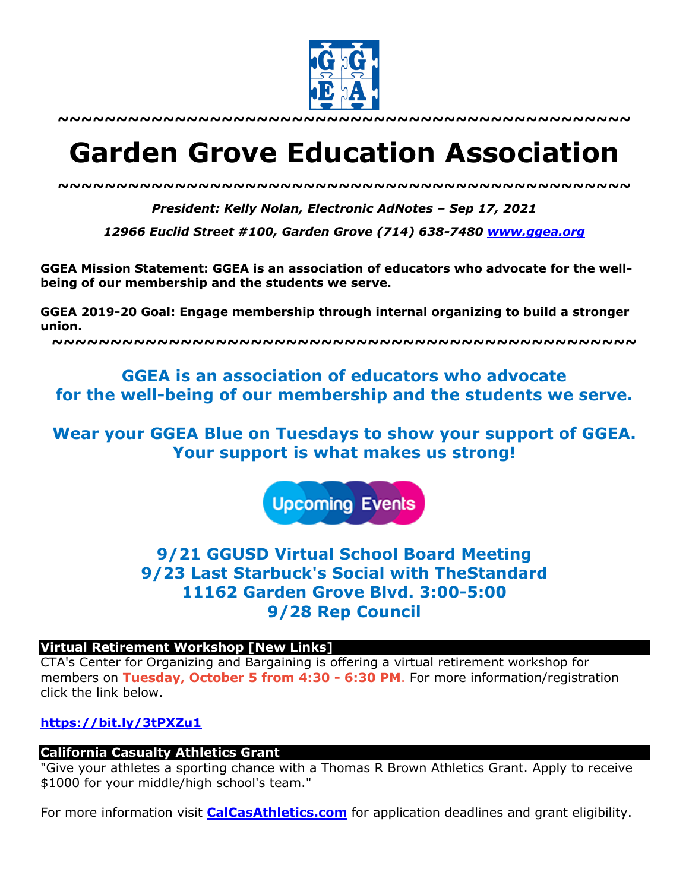

**~~~~~~~~~~~~~~~~~~~~~~~~~~~~~~~~~~~~~~~~~~~~~~~~~**

# **Garden Grove Education Association**

*~~~~~~~~~~~~~~~~~~~~~~~~~~~~~~~~~~~~~~~~~~~~~~~~~*

*President: Kelly Nolan, Electronic AdNotes – Sep 17, 2021*

*12966 Euclid Street #100, Garden Grove (714) 638-7480 www.ggea.org*

**GGEA Mission Statement: GGEA is an association of educators who advocate for the wellbeing of our membership and the students we serve.** 

**GGEA 2019-20 Goal: Engage membership through internal organizing to build a stronger union.**

**~~~~~~~~~~~~~~~~~~~~~~~~~~~~~~~~~~~~~~~~~~~~~~~~~~**

# **GGEA is an association of educators who advocate for the well-being of our membership and the students we serve.**

**Wear your GGEA Blue on Tuesdays to show your support of GGEA. Your support is what makes us strong!**

**Upcoming Events** 

# **9/21 GGUSD Virtual School Board Meeting 9/23 Last Starbuck's Social with TheStandard 11162 Garden Grove Blvd. 3:00-5:00 9/28 Rep Council**

#### **Virtual Retirement Workshop [New Links]**

CTA's Center for Organizing and Bargaining is offering a virtual retirement workshop for members on **Tuesday, October 5 from 4:30 - 6:30 PM**. For more information/registration click the link below.

#### **https://bit.ly/3tPXZu1**

#### **California Casualty Athletics Grant**

"Give your athletes a sporting chance with a Thomas R Brown Athletics Grant. Apply to receive \$1000 for your middle/high school's team."

For more information visit **CalCasAthletics.com** for application deadlines and grant eligibility.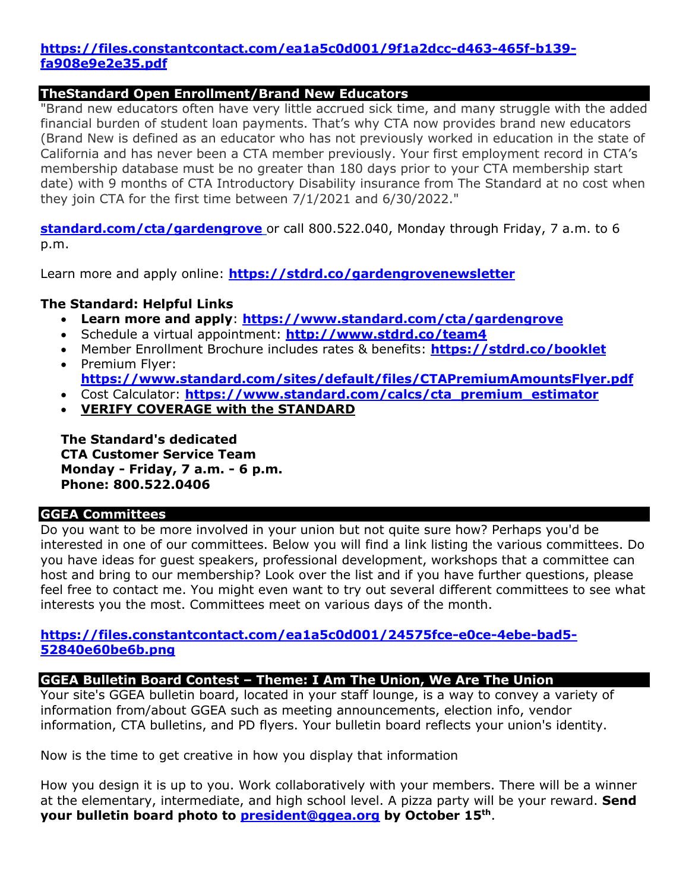#### **https://files.constantcontact.com/ea1a5c0d001/9f1a2dcc-d463-465f-b139 fa908e9e2e35.pdf**

#### **TheStandard Open Enrollment/Brand New Educators**

"Brand new educators often have very little accrued sick time, and many struggle with the added financial burden of student loan payments. That's why CTA now provides brand new educators (Brand New is defined as an educator who has not previously worked in education in the state of California and has never been a CTA member previously. Your first employment record in CTA's membership database must be no greater than 180 days prior to your CTA membership start date) with 9 months of CTA Introductory Disability insurance from The Standard at no cost when they join CTA for the first time between 7/1/2021 and 6/30/2022."

**standard.com/cta/gardengrove** or call 800.522.040, Monday through Friday, 7 a.m. to 6 p.m.

Learn more and apply online: **https://stdrd.co/gardengrovenewsletter**

#### **The Standard: Helpful Links**

- **Learn more and apply**: **https://www.standard.com/cta/gardengrove**
- Schedule a virtual appointment: **http://www.stdrd.co/team4**
- Member Enrollment Brochure includes rates & benefits: **https://stdrd.co/booklet**
- Premium Flyer: **https://www.standard.com/sites/default/files/CTAPremiumAmountsFlyer.pdf**
- Cost Calculator: **https://www.standard.com/calcs/cta\_premium\_estimator**
- **VERIFY COVERAGE with the STANDARD**

**The Standard's dedicated CTA Customer Service Team Monday - Friday, 7 a.m. - 6 p.m. Phone: 800.522.0406**

## **GGEA Committees**

Do you want to be more involved in your union but not quite sure how? Perhaps you'd be interested in one of our committees. Below you will find a link listing the various committees. Do you have ideas for guest speakers, professional development, workshops that a committee can host and bring to our membership? Look over the list and if you have further questions, please feel free to contact me. You might even want to try out several different committees to see what interests you the most. Committees meet on various days of the month.

#### **https://files.constantcontact.com/ea1a5c0d001/24575fce-e0ce-4ebe-bad5- 52840e60be6b.png**

#### **GGEA Bulletin Board Contest – Theme: I Am The Union, We Are The Union**

Your site's GGEA bulletin board, located in your staff lounge, is a way to convey a variety of information from/about GGEA such as meeting announcements, election info, vendor information, CTA bulletins, and PD flyers. Your bulletin board reflects your union's identity.

Now is the time to get creative in how you display that information

How you design it is up to you. Work collaboratively with your members. There will be a winner at the elementary, intermediate, and high school level. A pizza party will be your reward. **Send your bulletin board photo to president@ggea.org by October 15th**.